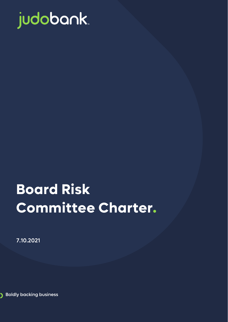

# **Board Risk Committee Charter.**

7.10.2021

**Boldly backing business** 

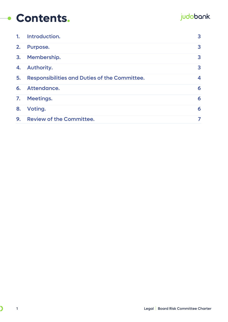#### **Contents.**

#### judobank.

| 1. | Introduction.                                        | 3 |
|----|------------------------------------------------------|---|
| 2. | Purpose.                                             | 3 |
| 3. | Membership.                                          | 3 |
| 4. | Authority.                                           | 3 |
| 5. | <b>Responsibilities and Duties of the Committee.</b> | 4 |
| 6. | Attendance.                                          | 6 |
|    | 7. Meetings.                                         | 6 |
| 8. | Voting.                                              | 6 |
| 9. | <b>Review of the Committee.</b>                      | 7 |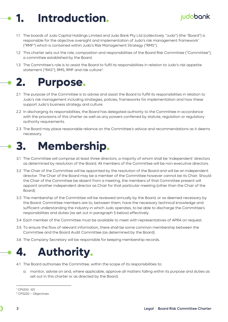## <span id="page-2-0"></span>**1. Introduction.**

- 1.1 The boards of Judo Capital Holdings Limited and Judo Bank Pty Ltd (collectively "Judo") (the "Board") is responsible for the objective oversight and implementation of Judo's risk management framework<sup>[1](#page-2-4)</sup> ("RMF") which is contained within Judo's Risk Management Strategy ("RMS").
- 1.2 This charter sets out the role, composition and responsibilities of the Board Risk Committee ("Committee"), a committee established by the Board.
- <span id="page-2-1"></span>1.3 The Committee's role is to assist the Board to fulfil its responsibilities in relation to Judo's risk appetite statement ("RAS"), RMS, RMF and risk culture<sup>[2](#page-2-5)</sup>.

### **2. Purpose.**

- 2.1 The purpose of the Committee is to advise and assist the Board to fulfill its responsibilities in relation to Judo's risk management including strategies, policies, frameworks for implementation and how these support Judo's business strategy and culture.
- 2.2 In discharging its responsibilities, the Board has delegated authority to the Committee in accordance with the provisions of this charter as well as any powers conferred by statute, regulation or regulatory authority requirements.
- 2.3 The Board may place reasonable reliance on the Committee's advice and recommendations as it deems necessary.

<span id="page-2-2"></span>

- 3.1 The Committee will comprise at least three directors, a majority of whom shall be 'independent' directors as determined by resolution of the Board. All members of the Committee will be non-executive directors.
- 3.2 The Chair of the Committee will be appointed by the resolution of the Board and will be an independent director. The Chair of the Board may be a member of the Committee however cannot be its Chair. Should the Chair of the Committee be absent from a meeting, the members of that Committee present will appoint another independent director as Chair for that particular meeting (other than the Chair of the Board).
- 3.3 The membership of the Committee will be reviewed annually by the Board, or as deemed necessary by the Board. Committee members are to, between them, have the necessary technical knowledge and sufficient understanding the industry in which Judo operates, to be able to discharge the Committee's responsibilities and duties (as set out in paragraph 5 below) effectively.
- 3.4 Each member of the Committee must be available to meet with representatives of APRA on request.
- 3.5 To ensure the flow of relevant information, there shall be some common membership between the Committee and the Board Audit Committee (as determined by the Board).
- 3.6 The Company Secretary will be responsible for keeping membership records.

<span id="page-2-3"></span>

- 4.1 The Board authorises the Committee, within the scope of its responsibilities to:
	- a. monitor, advise on and, where applicable, approve all matters falling within its purpose and duties as set out in this charter or as directed by the Board;

judobank.

<span id="page-2-4"></span><sup>1</sup> CPS510 -101

<span id="page-2-5"></span><sup>2</sup> CPS220 – Objectives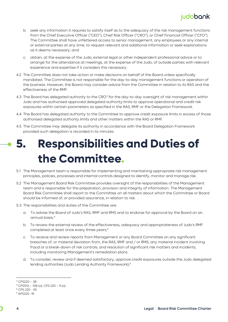#### judobank.

- b. seek any information it requires to satisfy itself as to the adequacy of the risk management functions from the Chief Executive Officer ("CEO"), Chief Risk Officer ("CRO"), or Chief Financial Officer ("CFO"). The Committee shall have unfettered access to senior management, any employees or any internal or external parties at any time, to request relevant and additional information or seek explanations as it deems necessary; and
- c. obtain, at the expense of the Judo, external legal or other independent professional advice or to arrange for the attendance at meetings, at the expense of the Judo, of outside parties with relevant experience and expertise if it considers this necessary.
- 4.2 The Committee does not take action or make decisions on behalf of the Board unless specifically mandated. The Committee is not responsible for the day-to-day management functions or operation of the business. However, the Board may consider advice from the Committee in relation to its RAS and the effectiveness of the RMF.
- 4.[3](#page-3-1) The Board has delegated authority to the CRO<sup>3</sup> for the day-to-day oversight of risk management within Judo and has authorised approved delegated authority limits to approve operational and credit risk exposures within certain parameters as specified in the RAS, RMF or the Delegation Framework.
- 4.4 The Board has delegated authority to the Committee to approve credit exposure limits in excess of those authorised delegated authority limits and other matters within the RAS or RMF.
- 4.5 The Committee may delegate its authority in accordance with the Board Delegation Framework provided such delegation is recorded in its minutes.

## <span id="page-3-0"></span>**5. Responsibilities and Duties of the Committee.**

- 5.1 The Management team is responsible for implementing and maintaining appropriate risk management principles, policies, processes and internal controls designed to identify, monitor and manage risk.
- 5.2 The Management Board Risk Committee provides oversight of the responsibilities of the Management team and is responsible for the preparation, provision and integrity of information. The Management Board Risk Committee shall report to the Committee on all matters about which the Committee or Board should be informed of, or provided assurance, in relation to risk.
- 5.3 The responsibilities and duties of the Committee are:
	- a. To advise the Board of Judo's RAS, RMF and RMS and to endorse for approval by the Board on an annual basis;[4](#page-3-2)
	- b. To review the external review of the effectiveness, adequacy and appropriateness of Judo's RMF completed at least once every three years;<sup>[5](#page-3-3)</sup>
	- c. To receive and review reports from Management or any Board Committee on any significant breaches of, or material deviation from, the RAS, RMF and / or RMS, any material incident involving fraud or a break-down of risk controls; and resolution of significant risk matters and incidents, including monitoring Management's remediation plans.
	- d. To consider, review and if deemed satisfactory, approve credit exposures outside the Judo delegated lending authorities (Judo Lending Authority Framework);[6](#page-3-4)

<span id="page-3-1"></span> $3$  CPS220 – 38

<span id="page-3-2"></span> $4$  CPS510 – 108 (a), CPS 220 – 9 (a)

<sup>5</sup> CPS 220 - 45

<span id="page-3-4"></span><span id="page-3-3"></span><sup>6</sup> APS220 -19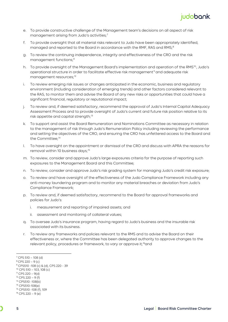

- e. To provide constructive challenge of the Management team's decisions on all aspect of risk management arising from Judo's activities;<sup>[7](#page-4-0)</sup>
- f. To provide oversight that all material risks relevant to Judo have been appropriately identified, managed and reported to the Board in accordance with the RMF, RAS and RMS;<sup>[8](#page-4-1)</sup>
- g. To review the continuing independence, integrity and effectiveness of the CRO and the risk management functions;<sup>[9](#page-4-2)</sup>
- h. To provide oversight of the Management Board's implementation and operation of the RMS<sup>10</sup>, Judo's operational structure in order to facilitate effective risk management<sup>[11](#page-4-4)</sup> and adequate risk management resources;<sup>[12](#page-4-5)</sup>
- i. To review emerging risk issues or changes anticipated in the economic, business and regulatory environment (including consideration of emerging trends) and other factors considered relevant to the RAS, to monitor them and advise the Board of any new risks or opportunities that could have a significant financial, regulatory or reputational impact;
- j. To review and, if deemed satisfactory, recommend the approval of Judo's Internal Capital Adequacy Assessment Process and to provide oversight of Judo's current and future risk position relative to its risk appetite and capital strength;<sup>[13](#page-4-6)</sup>
- k. To support and assist the Board Remuneration and Nominations Committee as necessary in relation to the management of risk through Judo's Remuneration Policy including reviewing the performance and setting the objectives of the CRO, and ensuring the CRO has unfettered access to the Board and the Committee;<sup>[14](#page-4-7)</sup>
- l. To have oversight on the appointment or dismissal of the CRO and discuss with APRA the reasons for removal within 10 business days;<sup>[15](#page-4-8)</sup>
- m. To review, consider and approve Judo's large exposures criteria for the purpose of reporting such exposures to the Management Board and this Committee;
- n. To review, consider and approve Judo's risk grading system for managing Judo's credit risk exposure;
- o. To review and have oversight of the effectiveness of the Judo Compliance Framework including any anti-money laundering program and to monitor any material breaches or deviation from Judo's Compliance Framework;
- p. To review and, if deemed satisfactory, recommend to the Board for approval frameworks and policies for Judo's:
	- i. measurement and reporting of impaired assets; and
	- ii. assessment and monitoring of collateral values;
- q. To oversee Judo's insurance program, having regard to Judo's business and the insurable risk associated with its business.
- r. To review any frameworks and policies relevant to the RMS and to advise the Board on their effectiveness or, where the Committee has been delegated authority to approve changes to the relevant policy, procedures or framework, to vary or approve it;<sup>[16](#page-4-9)</sup>and

<span id="page-4-0"></span> $7$  CPS 510 – 108 (d)<br> $8$  CPS 220 – 9 (c)

<span id="page-4-2"></span><span id="page-4-1"></span><sup>&</sup>lt;sup>9</sup> CPS510 -108 (c) & (d), CPS 220 - 39<br><sup>10</sup> CPS 510 – 103, 108 (c)

<span id="page-4-4"></span><span id="page-4-3"></span> $11$  CPS 220 – 9(d)<br> $12$  CPS 220 – 9 (f)

<span id="page-4-6"></span><span id="page-4-5"></span><sup>13</sup> CPS510 -108(b)

<span id="page-4-7"></span><sup>14</sup> CPS510-108(e)

<span id="page-4-9"></span><span id="page-4-8"></span><sup>&</sup>lt;sup>15</sup> CPS510 -108 (f), 109<br><sup>16</sup> CPS 220 – 9 (e)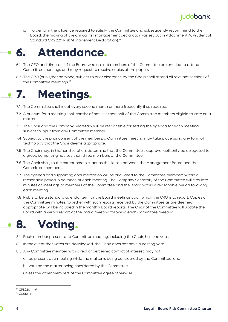

s. To perform the diligence required to satisfy the Committee and subsequently recommend to the Board, the making of the annual risk management declaration (as set out in Attachment A, Prudential Standard CPS 220 Risk Management Declaration).<sup>[17](#page-5-3)</sup>

### <span id="page-5-0"></span>**6. Attendance.**

- 6.1 The CEO and directors of the Board who are not members of the Committee are entitled to attend Committee meetings and may request to receive copies of the papers.
- 6.2 The CRO (or his/her nominee, subject to prior clearance by the Chair) shall attend all relevant sections of the Committee meetings.<sup>[18](#page-5-4)</sup>

## <span id="page-5-1"></span>**7. Meetings.**

- 7.1 The Committee shall meet every second month or more frequently if so required.
- 7.2 A quorum for a meeting shall consist of not less than half of the Committee members eligible to vote on a matter.
- 7.3 The Chair and the Company Secretary will be responsible for setting the agenda for each meeting subject to input from any Committee member.
- 7.4 Subject to the prior consent of the members, a Committee meeting may take place using any form of technology that the Chair deems appropriate.
- 7.5 The Chair may, in his/her discretion, determine that the Committee's approval authority be delegated to a group comprising not less than three members of the Committee.
- 7.6 The Chair shall, to the extent possible, act as the liaison between the Management Board and the Committee members.
- 7.7 The agenda and supporting documentation will be circulated to the Committee members within a reasonable period in advance of each meeting. The Company Secretary of the Committee will circulate minutes of meetings to members of the Committee and the Board within a reasonable period following each meeting.
- 7.8 Risk is to be a standard agenda item for the Board meetings upon which the CRO is to report. Copies of the Committee minutes, together with such reports received by the Committee as are deemed appropriate, will be included in the monthly Board reports. The Chair of the Committee will update the Board with a verbal report at the Board meeting following each Committee meeting.

#### <span id="page-5-2"></span>**8. Voting.**

- 8.1 Each member present at a Committee meeting, including the Chair, has one vote.
- 8.2 In the event that votes are deadlocked, the Chair does not have a casting vote.
- 8.3 Any Committee member with a real or perceived conflict of interest, may not:
	- a. be present at a meeting while the matter is being considered by the Committee; and
	- b. vote on the matter being considered by the Committee,

unless the other members of the Committee agree otherwise.

<span id="page-5-3"></span><sup>17</sup> CPS220 – 49

<span id="page-5-4"></span><sup>18</sup> CS510 -111